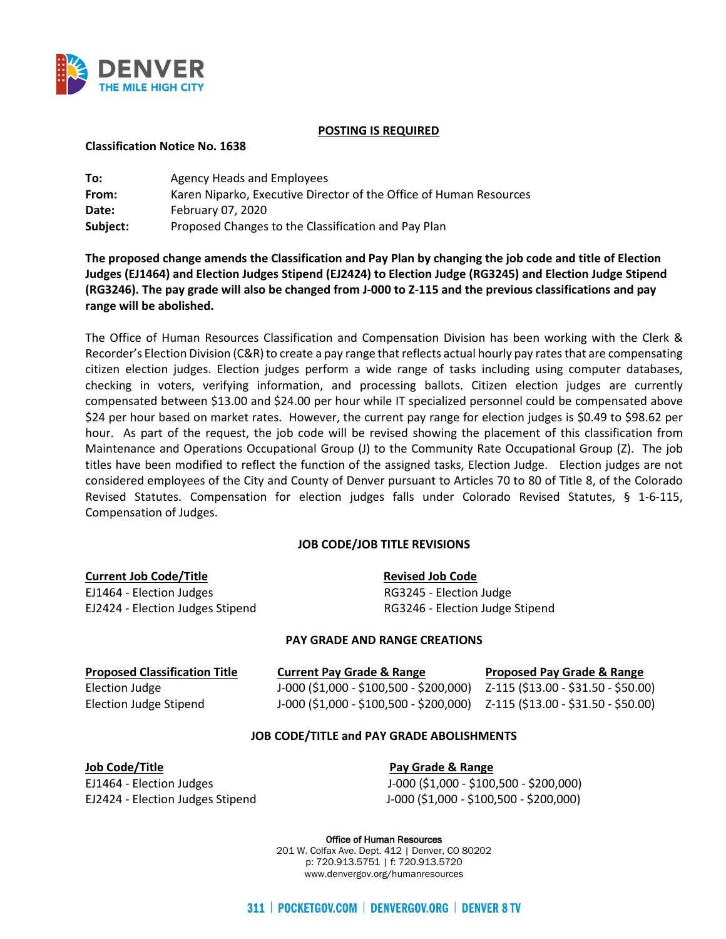

### **POSTING IS REQUIRED**

### **Classification Notice No. 1638**

| To:      | Agency Heads and Employees                                         |
|----------|--------------------------------------------------------------------|
| From:    | Karen Niparko, Executive Director of the Office of Human Resources |
| Date:    | February 07, 2020                                                  |
| Subject: | Proposed Changes to the Classification and Pay Plan                |

**The proposed change amends the Classification and Pay Plan by changing the job code and title of Election Judges (EJ1464) and Election Judges Stipend (EJ2424) to Election Judge (RG3245) and Election Judge Stipend (RG3246). The pay grade will also be changed from J-000 to Z-115 and the previous classifications and pay range will be abolished.** 

The Office of Human Resources Classification and Compensation Division has been working with the Clerk & Recorder's Election Division (C&R) to create a pay range that reflects actual hourly pay rates that are compensating citizen election judges. Election judges perform a wide range of tasks including using computer databases, checking in voters, verifying information, and processing ballots. Citizen election judges are currently compensated between \$13.00 and \$24.00 per hour while IT specialized personnel could be compensated above \$24 per hour based on market rates. However, the current pay range for election judges is \$0.49 to \$98.62 per hour. As part of the request, the job code will be revised showing the placement of this classification from Maintenance and Operations Occupational Group (J) to the Community Rate Occupational Group (Z). The job titles have been modified to reflect the function of the assigned tasks, Election Judge. Election judges are not considered employees of the City and County of Denver pursuant to Articles 70 to 80 of Title 8, of the Colorado Revised Statutes. Compensation for election judges falls under Colorado Revised Statutes, § 1-6-115, Compensation of Judges.

# **JOB CODE/JOB TITLE REVISIONS**

| <b>Current Job Code/Title</b>    | <b>Revised Job Code</b>         |
|----------------------------------|---------------------------------|
| EJ1464 - Election Judges         | RG3245 - Election Judge         |
| EJ2424 - Election Judges Stipend | RG3246 - Election Judge Stipend |

# **PAY GRADE AND RANGE CREATIONS**

| <b>Proposed Classification Title</b> | <b>Current Pay Grade &amp; Range</b>                                            | <b>Proposed Pay Grade &amp; Range</b> |
|--------------------------------------|---------------------------------------------------------------------------------|---------------------------------------|
| Election Judge                       | J-000 (\$1,000 - \$100,500 - \$200,000)                                         | Z-115 (\$13.00 - \$31.50 - \$50.00)   |
| Election Judge Stipend               | $J-000$ (\$1,000 - \$100,500 - \$200,000) $Z-115$ (\$13.00 - \$31.50 - \$50.00) |                                       |

# **JOB CODE/TITLE and PAY GRADE ABOLISHMENTS**

**Job Code/Title Community Contract Contract Pay Grade & Range** 

EJ1464 - Election Judges J-000 (\$1,000 - \$100,500 - \$200,000) EJ2424 - Election Judges Stipend J-000 (\$1,000 - \$100,500 - \$200,000)

> Office of Human Resources 201 W. Colfax Ave. Dept. 412 | Denver, CO 80202 p: 720.913.5751 | f: 720.913.5720 www.denvergov.org/humanresources